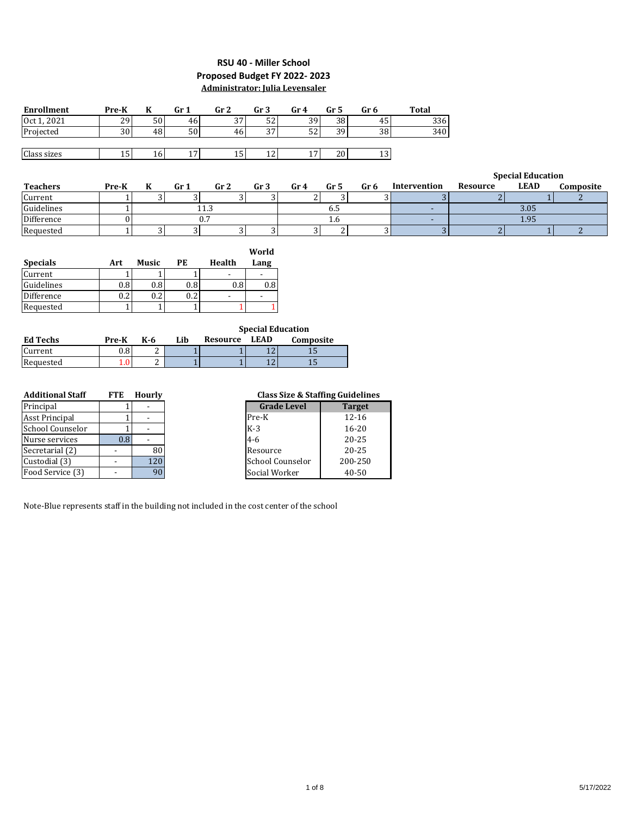### **RSU 40 - Miller School Proposed Budget FY 2022- 2023 Administrator: Julia Levensaler**

| <b>Enrollment</b> | Pre-K | K            | Gr <sub>1</sub> | Gr <sub>2</sub> | Gr <sub>3</sub> | Gr <sub>4</sub> | Gr <sub>5</sub> | Gr 6            | Total        |                    |                       |
|-------------------|-------|--------------|-----------------|-----------------|-----------------|-----------------|-----------------|-----------------|--------------|--------------------|-----------------------|
| Oct 1, 2021       | 29    | 50           | 46              | 37              | 52              | 39              | 38              | 45              | 336          |                    |                       |
| Projected         | 30    | 48           | 50              | 46              | 37              | 52              | 39              | 38              | 340          |                    |                       |
|                   |       |              |                 |                 |                 |                 |                 |                 |              |                    |                       |
| Class sizes       | 15    | 16           | 17              | 15              | 12              | 17 <sub>1</sub> | 20              | 13              |              |                    |                       |
|                   |       |              |                 |                 |                 |                 |                 |                 |              |                    |                       |
|                   |       |              |                 |                 |                 |                 |                 |                 |              |                    | <b>Special Educat</b> |
| <b>Teachers</b>   | Pre-K | K            | Gr <sub>1</sub> | Gr <sub>2</sub> | Gr <sub>3</sub> | Gr <sub>4</sub> | Gr 5            | Gr <sub>6</sub> | Intervention | Resource           | <b>LEAD</b>           |
| Current           |       | 3            | $\overline{3}$  | 3               | 3               |                 | 3               | 31              | 3            |                    |                       |
| Guidelines        |       |              |                 | 11.3            |                 |                 | 6.5             |                 |              |                    | 3.05                  |
| Difference        | በ     |              |                 | 0.7             |                 |                 | 1.6             |                 | -            |                    | 1.95                  |
| Requested         |       | 3            | 3               | 3               | 3               | 3               | 2               | 31              | 3            | $\mathcal{D}$<br>4 |                       |
|                   |       |              |                 |                 |                 |                 |                 |                 |              |                    |                       |
|                   |       |              |                 |                 | World           |                 |                 |                 |              |                    |                       |
| <b>Specials</b>   | Art   | <b>Music</b> | PE              | Health          | Lang            |                 |                 |                 |              |                    |                       |

|                 |          |       |     |          | 11 VI IU |
|-----------------|----------|-------|-----|----------|----------|
| <b>Specials</b> | Art      | Music | РE  | Health   | Lang     |
| Current         |          |       |     |          |          |
| Guidelines      | 0.8      | 0.8   | 0.8 | $^{0.8}$ | $^{0.8}$ |
| Difference      | $_{0.2}$ | ◠     | ຳ   |          |          |
| Requested       |          |       |     |          |          |

|                 |         |     |     |          |             | <b>Special Education</b> |
|-----------------|---------|-----|-----|----------|-------------|--------------------------|
| <b>Ed Techs</b> | Pre-K   | K-6 | Lih | Resource | <b>LEAD</b> | Composite                |
| Current         | $0.8\,$ |     |     |          |             |                          |
| Requested       |         |     |     |          |             |                          |

| <b>Additional Staff</b> | FTE | <b>Hourly</b> |
|-------------------------|-----|---------------|
| Principal               |     |               |
| <b>Asst Principal</b>   |     |               |
| School Counselor        |     |               |
| Nurse services          | 0.8 |               |
| Secretarial (2)         |     | 80            |
| Custodial (3)           |     | 120           |
| Food Service (3)        |     |               |

### **Class Size & Staffing Guidelines**

| <b>Grade Level</b>      | <b>Target</b> |
|-------------------------|---------------|
| Pre-K                   | $12 - 16$     |
| $K-3$                   | $16 - 20$     |
| $4 - 6$                 | $20 - 25$     |
| Resource                | $20 - 25$     |
| <b>School Counselor</b> | 200-250       |
| Social Worker           | $40 - 50$     |

Note-Blue represents staff in the building not included in the cost center of the school

**Composite Special Education**

2

2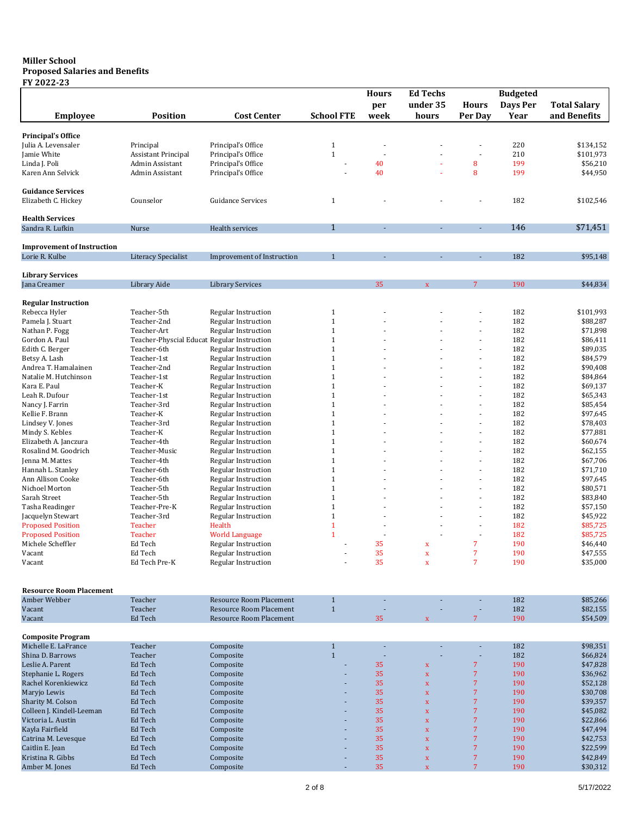#### **Miller School Proposed Salaries and Benefits**

### **FY 2022-23**

|                                   |                                             |                                |                   | <b>Hours</b>   | <b>Ed Techs</b>         |                | <b>Budgeted</b> |                     |
|-----------------------------------|---------------------------------------------|--------------------------------|-------------------|----------------|-------------------------|----------------|-----------------|---------------------|
|                                   |                                             |                                |                   | per            | under 35                | <b>Hours</b>   | Days Per        | <b>Total Salary</b> |
| <b>Employee</b>                   | <b>Position</b>                             | <b>Cost Center</b>             | <b>School FTE</b> | week           | hours                   | Per Day        | Year            | and Benefits        |
|                                   |                                             |                                |                   |                |                         |                |                 |                     |
|                                   |                                             |                                |                   |                |                         |                |                 |                     |
| <b>Principal's Office</b>         |                                             |                                |                   |                |                         |                |                 |                     |
| Julia A. Levensaler               | Principal                                   | Principal's Office             | $\mathbf{1}$      |                |                         |                | 220             | \$134,152           |
| Jamie White                       | <b>Assistant Principal</b>                  | Principal's Office             | $1\,$             |                |                         | ÷,             | 210             | \$101,973           |
| Linda J. Poli                     | Admin Assistant                             | Principal's Office             | ÷,                | 40             |                         | 8              | 199             | \$56,210            |
| Karen Ann Selvick                 | Admin Assistant                             | Principal's Office             |                   | 40             |                         | 8              | 199             | \$44,950            |
|                                   |                                             |                                |                   |                |                         |                |                 |                     |
| <b>Guidance Services</b>          |                                             |                                |                   |                |                         |                |                 |                     |
| Elizabeth C. Hickey               | Counselor                                   | <b>Guidance Services</b>       | $\mathbf{1}$      |                |                         |                | 182             | \$102,546           |
|                                   |                                             |                                |                   |                |                         |                |                 |                     |
| <b>Health Services</b>            |                                             |                                |                   |                |                         |                |                 |                     |
| Sandra R. Lufkin                  | Nurse                                       | Health services                | $\mathbf{1}$      | $\blacksquare$ | ÷.                      | ÷.             | 146             | \$71,451            |
|                                   |                                             |                                |                   |                |                         |                |                 |                     |
| <b>Improvement of Instruction</b> |                                             |                                |                   |                |                         |                |                 |                     |
| Lorie R. Kulbe                    | Literacy Specialist                         | Improvement of Instruction     | $\mathbf{1}$      | ä,             | ä,                      | ä,             | 182             | \$95,148            |
|                                   |                                             |                                |                   |                |                         |                |                 |                     |
| <b>Library Services</b>           |                                             |                                |                   |                |                         |                |                 |                     |
| Jana Creamer                      | Library Aide                                | <b>Library Services</b>        |                   | 35             | $\mathbf x$             | 7              | 190             | \$44,834            |
|                                   |                                             |                                |                   |                |                         |                |                 |                     |
| <b>Regular Instruction</b>        |                                             |                                |                   |                |                         |                |                 |                     |
| Rebecca Hyler                     | Teacher-5th                                 | <b>Regular Instruction</b>     | $1\,$             |                |                         |                | 182             | \$101,993           |
| Pamela J. Stuart                  | Teacher-2nd                                 | <b>Regular Instruction</b>     | $1\,$             |                |                         |                | 182             | \$88,287            |
| Nathan P. Fogg                    | Teacher-Art                                 | <b>Regular Instruction</b>     | $1\,$             |                |                         |                | 182             | \$71,898            |
| Gordon A. Paul                    | Teacher-Physcial Educat Regular Instruction |                                | $\mathbf{1}$      |                |                         |                | 182             | \$86,411            |
|                                   |                                             |                                | $1\,$             |                |                         |                | 182             |                     |
| Edith C. Berger                   | Teacher-6th                                 | Regular Instruction            |                   |                |                         | ÷              |                 | \$89,035            |
| Betsy A. Lash                     | Teacher-1st                                 | Regular Instruction            | $1\,$             |                |                         |                | 182             | \$84,579            |
| Andrea T. Hamalainen              | Teacher-2nd                                 | <b>Regular Instruction</b>     | $1\,$             |                |                         | ÷,             | 182             | \$90,408            |
| Natalie M. Hutchinson             | Teacher-1st                                 | <b>Regular Instruction</b>     | $\mathbf{1}$      |                |                         | ä,             | 182             | \$84,864            |
| Kara E. Paul                      | Teacher-K                                   | <b>Regular Instruction</b>     | $1\,$             |                |                         | ÷,             | 182             | \$69,137            |
| Leah R. Dufour                    | Teacher-1st                                 | <b>Regular Instruction</b>     | $1\,$             |                |                         |                | 182             | \$65,343            |
| Nancy J. Farrin                   | Teacher-3rd                                 | Regular Instruction            | $1\,$             |                |                         | ÷              | 182             | \$85,454            |
| Kellie F. Brann                   | Teacher-K                                   | <b>Regular Instruction</b>     | $\mathbf{1}$      |                |                         |                | 182             | \$97,645            |
| Lindsey V. Jones                  | Teacher-3rd                                 | <b>Regular Instruction</b>     | $1\,$             |                |                         | ÷,             | 182             | \$78,403            |
| Mindy S. Kebles                   | Teacher-K                                   | <b>Regular Instruction</b>     | $1\,$             |                |                         | ÷,             | 182             | \$77,881            |
| Elizabeth A. Janczura             | Teacher-4th                                 | <b>Regular Instruction</b>     | $1\,$             |                |                         | ÷,             | 182             | \$60,674            |
| Rosalind M. Goodrich              | Teacher-Music                               | <b>Regular Instruction</b>     | $1\,$             |                |                         |                | 182             | \$62,155            |
| Jenna M. Mattes                   | Teacher-4th                                 | Regular Instruction            | $1\,$             |                |                         | ÷              | 182             | \$67,706            |
| Hannah L. Stanley                 | Teacher-6th                                 | Regular Instruction            | $1\,$             |                |                         |                | 182             | \$71,710            |
| Ann Allison Cooke                 | Teacher-6th                                 | <b>Regular Instruction</b>     | $1\,$             |                |                         | ä,             | 182             | \$97,645            |
| Nichoel Morton                    | Teacher-5th                                 | <b>Regular Instruction</b>     | $1\,$             |                |                         | ä,             | 182             | \$80,571            |
| Sarah Street                      | Teacher-5th                                 | Regular Instruction            | $1\,$             |                |                         |                | 182             | \$83,840            |
| Tasha Readinger                   | Teacher-Pre-K                               | Regular Instruction            | $1\,$             |                |                         |                | 182             | \$57,150            |
| Jacquelyn Stewart                 | Teacher-3rd                                 | Regular Instruction            | $1\,$             |                |                         | ÷              | 182             | \$45,922            |
| <b>Proposed Position</b>          | Teacher                                     | Health                         | $\mathbf{1}$      |                |                         |                | 182             | \$85,725            |
|                                   |                                             |                                |                   |                |                         |                |                 |                     |
| <b>Proposed Position</b>          | Teacher                                     | World Language                 | $\mathbf{1}$      |                |                         | ÷,             | 182             | \$85,725            |
| Michele Scheffler                 | Ed Tech                                     | <b>Regular Instruction</b>     |                   | 35             | $\mathbf x$             | $\overline{7}$ | 190             | \$46,440            |
| Vacant                            | Ed Tech                                     | Regular Instruction            |                   | 35             | $\mathbf x$             | 7              | 190             | \$47,555            |
| Vacant                            | Ed Tech Pre-K                               | <b>Regular Instruction</b>     |                   | 35             | $\mathbf x$             | $\overline{7}$ | 190             | \$35,000            |
|                                   |                                             |                                |                   |                |                         |                |                 |                     |
|                                   |                                             |                                |                   |                |                         |                |                 |                     |
| <b>Resource Room Placement</b>    |                                             |                                |                   |                |                         |                |                 |                     |
| Amber Webber                      | Teacher                                     | <b>Resource Room Placement</b> | $1\,$             |                |                         |                | 182             | \$85,266            |
| Vacant                            | Teacher                                     | <b>Resource Room Placement</b> | $\mathbf{1}$      |                |                         |                | 182             | \$82,155            |
| Vacant                            | Ed Tech                                     | <b>Resource Room Placement</b> |                   | 35             | $\overline{\mathbf{x}}$ | $\overline{7}$ | 190             | \$54,509            |
|                                   |                                             |                                |                   |                |                         |                |                 |                     |
| <b>Composite Program</b>          |                                             |                                |                   |                |                         |                |                 |                     |
| Michelle E. LaFrance              | Teacher                                     | Composite                      | $\mathbf{1}$      |                |                         |                | 182             | \$98,351            |
| Shina D. Barrows                  | Teacher                                     | Composite                      | $\mathbf{1}$      |                |                         |                | 182             | \$66,824            |
| Leslie A. Parent                  | Ed Tech                                     | Composite                      |                   | 35             | $\mathbf x$             | $\overline{7}$ | 190             | \$47,828            |
| Stephanie L. Rogers               | Ed Tech                                     | Composite                      |                   | 35             | $\bar{\mathbf{x}}$      | $\overline{7}$ | 190             | \$36,962            |
| Rachel Korenkiewicz               | Ed Tech                                     | Composite                      | ٠                 | 35             | $\mathbf x$             | $\overline{7}$ | 190             | \$52,128            |
| Maryjo Lewis                      | Ed Tech                                     | Composite                      |                   | 35             | $\mathbf x$             | $\overline{7}$ | 190             | \$30,708            |
| Sharity M. Colson                 | Ed Tech                                     | Composite                      | ÷,                | 35             |                         | $\overline{7}$ | 190             | \$39,357            |
|                                   |                                             |                                |                   |                | $\mathbf x$             |                |                 |                     |
| Colleen J. Kindell-Leeman         | Ed Tech                                     | Composite                      |                   | 35             | $\mathbf x$             | $\overline{7}$ | 190             | \$45,082            |
| Victoria L. Austin                | Ed Tech                                     | Composite                      | ÷,                | 35             | $\mathbf x$             | $\overline{7}$ | 190             | \$22,866            |
| Kayla Fairfield                   | Ed Tech                                     | Composite                      |                   | 35             | $\mathbf x$             | $\overline{7}$ | 190             | \$47,494            |
| Catrina M. Levesque               | Ed Tech                                     | Composite                      |                   | 35             | $\mathbf x$             | $\overline{7}$ | 190             | \$42,753            |
| Caitlin E. Jean                   | Ed Tech                                     | Composite                      |                   | 35             | $\mathbf x$             | $\overline{7}$ | 190             | \$22,599            |
| Kristina R. Gibbs                 | Ed Tech                                     | Composite                      |                   | 35             | $\mathbf x$             | $\overline{7}$ | 190             | \$42,849            |
| Amber M. Jones                    | Ed Tech                                     | Composite                      |                   | 35             | $\mathbf x$             | $\overline{7}$ | 190             | \$30,312            |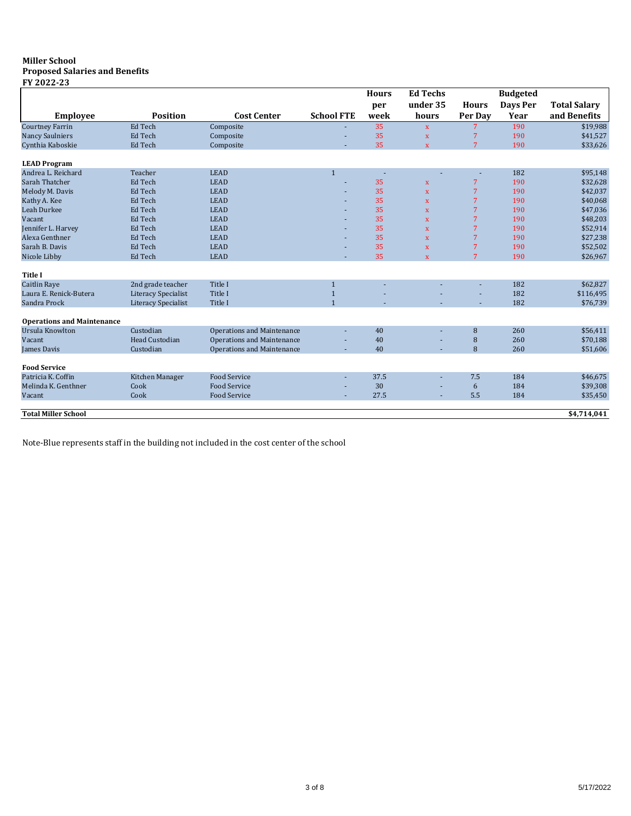#### **Miller School Proposed Salaries and Benefits**

**FY 2022-23**

|                                   |                            |                            |                   | <b>Hours</b> | <b>Ed Techs</b>         |                | <b>Budgeted</b> |                     |
|-----------------------------------|----------------------------|----------------------------|-------------------|--------------|-------------------------|----------------|-----------------|---------------------|
|                                   |                            |                            |                   | per          | under 35                | <b>Hours</b>   | Days Per        | <b>Total Salary</b> |
| <b>Employee</b>                   | <b>Position</b>            | <b>Cost Center</b>         | <b>School FTE</b> | week         | hours                   | Per Day        | Year            | and Benefits        |
| <b>Courtney Farrin</b>            | Ed Tech                    | Composite                  |                   | 35           | $\mathbf{x}$            | 7              | 190             | \$19,988            |
| <b>Nancy Saulniers</b>            | Ed Tech                    | Composite                  |                   | 35           | $\mathbf x$             | 7              | 190             | \$41,527            |
| Cynthia Kaboskie                  | Ed Tech                    | Composite                  |                   | 35           | $\mathbf{x}$            | 7              | 190             | \$33,626            |
| <b>LEAD Program</b>               |                            |                            |                   |              |                         |                |                 |                     |
| Andrea L. Reichard                | Teacher                    | <b>LEAD</b>                | $\mathbf{1}$      | $\sim$       |                         | ٠              | 182             | \$95,148            |
| Sarah Thatcher                    | Ed Tech                    | <b>LEAD</b>                |                   | 35           | $\mathbf{x}$            | 7              | 190             | \$32,628            |
| Melody M. Davis                   | Ed Tech                    | <b>LEAD</b>                |                   | 35           | $\mathbf{x}$            | 7              | 190             | \$42,037            |
| Kathy A. Kee                      | Ed Tech                    | <b>LEAD</b>                |                   | 35           | $\mathbf{x}$            | 7              | 190             | \$40,068            |
| Leah Durkee                       | Ed Tech                    | <b>LEAD</b>                |                   | 35           | $\mathbf{x}$            | 7              | 190             | \$47,036            |
| Vacant                            | Ed Tech                    | <b>LEAD</b>                |                   | 35           | $\overline{\mathbf{x}}$ | 7              | 190             | \$48,203            |
| Jennifer L. Harvey                | Ed Tech                    | <b>LEAD</b>                |                   | 35           | $\mathbf x$             | 7              | 190             | \$52,914            |
| Alexa Genthner                    | Ed Tech                    | <b>LEAD</b>                |                   | 35           | $\mathbf{x}$            | 7              | 190             | \$27,238            |
| Sarah B. Davis                    | Ed Tech                    | <b>LEAD</b>                |                   | 35           | $\mathbf x$             | 7              | 190             | \$52,502            |
| Nicole Libby                      | Ed Tech                    | <b>LEAD</b>                |                   | 35           | $\mathbf{x}$            | $\overline{7}$ | 190             | \$26,967            |
| <b>Title I</b>                    |                            |                            |                   |              |                         |                |                 |                     |
| <b>Caitlin Raye</b>               | 2nd grade teacher          | Title I                    | $\mathbf{1}$      |              |                         |                | 182             | \$62,827            |
| Laura E. Renick-Butera            | <b>Literacy Specialist</b> | Title I                    | $\overline{1}$    |              |                         |                | 182             | \$116,495           |
| Sandra Prock                      | <b>Literacy Specialist</b> | Title I                    | $\overline{1}$    |              |                         |                | 182             | \$76,739            |
| <b>Operations and Maintenance</b> |                            |                            |                   |              |                         |                |                 |                     |
| Ursula Knowlton                   | Custodian                  | Operations and Maintenance |                   | 40           |                         | 8              | 260             | \$56,411            |
| Vacant                            | <b>Head Custodian</b>      | Operations and Maintenance |                   | 40           |                         | 8              | 260             | \$70,188            |
| James Davis                       | Custodian                  | Operations and Maintenance |                   | 40           |                         | 8              | 260             | \$51,606            |
|                                   |                            |                            |                   |              |                         |                |                 |                     |
| <b>Food Service</b>               |                            |                            |                   |              |                         |                |                 |                     |
| Patricia K. Coffin                | Kitchen Manager            | <b>Food Service</b>        |                   | 37.5         |                         | 7.5            | 184             | \$46,675            |
| Melinda K. Genthner               | Cook                       | <b>Food Service</b>        |                   | 30           |                         | 6              | 184             | \$39,308            |
| Vacant                            | Cook                       | <b>Food Service</b>        |                   | 27.5         |                         | 5.5            | 184             | \$35,450            |
| <b>Total Miller School</b>        |                            |                            |                   |              |                         |                |                 | \$4,714,041         |
|                                   |                            |                            |                   |              |                         |                |                 |                     |

Note-Blue represents staff in the building not included in the cost center of the school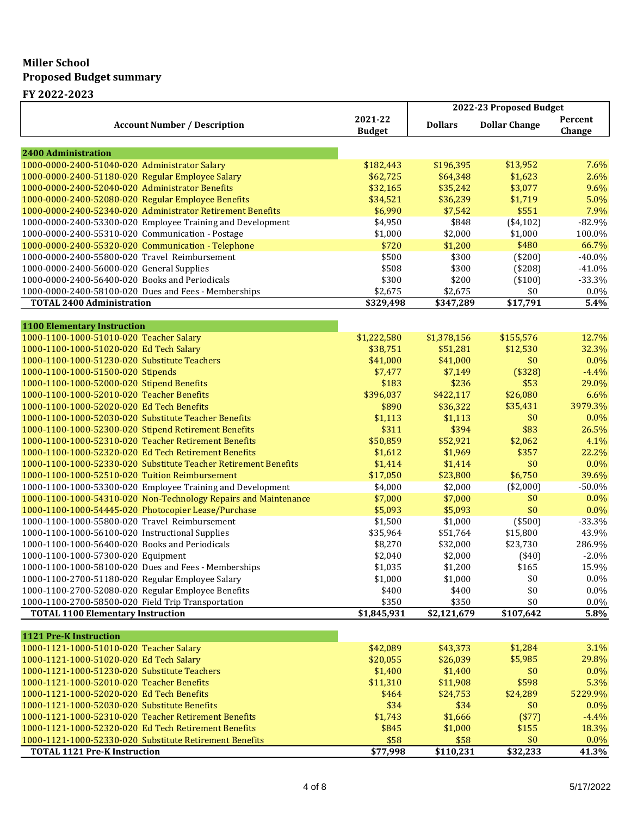## **Miller School Proposed Budget summary**

**FY 2022-2023**

|                                                                                          |                          | 2022-23 Proposed Budget |                      |                   |  |
|------------------------------------------------------------------------------------------|--------------------------|-------------------------|----------------------|-------------------|--|
| <b>Account Number / Description</b>                                                      | 2021-22<br><b>Budget</b> | <b>Dollars</b>          | <b>Dollar Change</b> | Percent<br>Change |  |
|                                                                                          |                          |                         |                      |                   |  |
| <b>2400 Administration</b>                                                               |                          |                         |                      |                   |  |
| 1000-0000-2400-51040-020 Administrator Salary                                            | \$182,443                | \$196,395               | \$13,952             | 7.6%              |  |
| 1000-0000-2400-51180-020 Regular Employee Salary                                         | \$62,725                 | \$64,348                | \$1,623              | 2.6%              |  |
| 1000-0000-2400-52040-020 Administrator Benefits                                          | \$32,165                 | \$35,242                | \$3,077              | 9.6%              |  |
| 1000-0000-2400-52080-020 Regular Employee Benefits                                       | \$34,521                 | \$36,239                | \$1,719              | 5.0%              |  |
| 1000-0000-2400-52340-020 Administrator Retirement Benefits                               | \$6,990                  | \$7,542                 | \$551                | 7.9%              |  |
| 1000-0000-2400-53300-020 Employee Training and Development                               | \$4,950                  | \$848                   | (\$4,102)            | $-82.9%$          |  |
| 1000-0000-2400-55310-020 Communication - Postage                                         | \$1,000                  | \$2,000                 | \$1,000              | 100.0%            |  |
| 1000-0000-2400-55320-020 Communication - Telephone                                       | \$720                    | \$1,200                 | \$480                | 66.7%             |  |
| 1000-0000-2400-55800-020 Travel Reimbursement                                            | \$500                    | \$300                   | (\$200)              | $-40.0\%$         |  |
| 1000-0000-2400-56000-020 General Supplies                                                | \$508                    | \$300                   | (\$208)              | $-41.0%$          |  |
| 1000-0000-2400-56400-020 Books and Periodicals                                           | \$300                    | \$200                   | ( \$100)             | $-33.3%$          |  |
| 1000-0000-2400-58100-020 Dues and Fees - Memberships<br><b>TOTAL 2400 Administration</b> | \$2,675<br>\$329,498     | \$2,675<br>\$347,289    | \$0<br>\$17,791      | $0.0\%$<br>5.4%   |  |
|                                                                                          |                          |                         |                      |                   |  |
| <b>1100 Elementary Instruction</b>                                                       |                          |                         |                      |                   |  |
| 1000-1100-1000-51010-020 Teacher Salary                                                  | \$1,222,580              | \$1,378,156             | \$155,576            | 12.7%             |  |
| 1000-1100-1000-51020-020 Ed Tech Salary                                                  | \$38,751                 | \$51,281                | \$12,530             | 32.3%             |  |
| 1000-1100-1000-51230-020 Substitute Teachers                                             | \$41,000                 | \$41,000                | \$0                  | 0.0%              |  |
| 1000-1100-1000-51500-020 Stipends                                                        | \$7,477                  | \$7,149                 | (\$328)              | $-4.4%$           |  |
| 1000-1100-1000-52000-020 Stipend Benefits                                                | \$183                    | \$236                   | \$53                 | 29.0%             |  |
| 1000-1100-1000-52010-020 Teacher Benefits                                                | \$396,037                | \$422,117               | \$26,080             | 6.6%              |  |
| 1000-1100-1000-52020-020 Ed Tech Benefits                                                | \$890                    | \$36,322                | \$35,431             | 3979.3%           |  |
| 1000-1100-1000-52030-020 Substitute Teacher Benefits                                     | \$1,113                  | \$1,113                 | \$0                  | 0.0%              |  |
| 1000-1100-1000-52300-020 Stipend Retirement Benefits                                     | \$311                    | \$394                   | \$83                 | 26.5%             |  |
| 1000-1100-1000-52310-020 Teacher Retirement Benefits                                     | \$50,859                 | \$52,921                | \$2,062              | 4.1%              |  |
| 1000-1100-1000-52320-020 Ed Tech Retirement Benefits                                     | \$1,612                  | \$1,969                 | \$357                | 22.2%             |  |
| 1000-1100-1000-52330-020 Substitute Teacher Retirement Benefits                          | \$1,414                  | \$1,414                 | \$0                  | 0.0%              |  |
| 1000-1100-1000-52510-020 Tuition Reimbursement                                           | \$17,050                 | \$23,800                | \$6,750              | 39.6%             |  |
| 1000-1100-1000-53300-020 Employee Training and Development                               | \$4,000                  | \$2,000                 | (\$2,000)            | $-50.0%$          |  |
| 1000-1100-1000-54310-020 Non-Technology Repairs and Maintenance                          | \$7,000                  | \$7,000                 | \$0                  | 0.0%              |  |
| 1000-1100-1000-54445-020 Photocopier Lease/Purchase                                      | \$5,093                  | \$5,093                 | \$0                  | 0.0%              |  |
| 1000-1100-1000-55800-020 Travel Reimbursement                                            | \$1,500                  | \$1,000                 | (\$500)              | $-33.3%$          |  |
| 1000-1100-1000-56100-020 Instructional Supplies                                          | \$35,964                 | \$51,764                | \$15,800             | 43.9%             |  |
| 1000-1100-1000-56400-020 Books and Periodicals                                           | \$8,270                  | \$32,000                | \$23,730             | 286.9%            |  |
| 1000-1100-1000-57300-020 Equipment                                                       | \$2,040                  | \$2,000                 | $(*40)$              | $-2.0%$           |  |
| 1000-1100-1000-58100-020 Dues and Fees - Memberships                                     | \$1,035                  | \$1,200                 | \$165                | 15.9%             |  |
| 1000-1100-2700-51180-020 Regular Employee Salary                                         | \$1,000                  | \$1,000                 | \$0                  | 0.0%              |  |
| 1000-1100-2700-52080-020 Regular Employee Benefits                                       | \$400                    | \$400                   | \$0                  | $0.0\%$           |  |
| 1000-1100-2700-58500-020 Field Trip Transportation                                       | \$350                    | \$350                   | \$0                  | 0.0%              |  |
| <b>TOTAL 1100 Elementary Instruction</b>                                                 | \$1,845,931              | \$2,121,679             | \$107,642            | 5.8%              |  |
|                                                                                          |                          |                         |                      |                   |  |
| 1121 Pre-K Instruction                                                                   |                          |                         |                      |                   |  |
| 1000-1121-1000-51010-020 Teacher Salary                                                  | \$42,089                 | \$43,373                | \$1,284              | 3.1%              |  |
| 1000-1121-1000-51020-020 Ed Tech Salary                                                  | \$20,055                 | \$26,039                | \$5,985              | 29.8%             |  |
| 1000-1121-1000-51230-020 Substitute Teachers                                             | \$1,400                  | \$1,400                 | \$0                  | 0.0%              |  |
| 1000-1121-1000-52010-020 Teacher Benefits                                                | \$11,310                 | \$11,908                | \$598                | 5.3%              |  |
| 1000-1121-1000-52020-020 Ed Tech Benefits                                                | \$464                    | \$24,753                | \$24,289             | 5229.9%           |  |
| 1000-1121-1000-52030-020 Substitute Benefits                                             | \$34                     | \$34                    | \$0                  | 0.0%              |  |
| 1000-1121-1000-52310-020 Teacher Retirement Benefits                                     | \$1,743                  | \$1,666                 | (\$77)               | $-4.4%$           |  |
| 1000-1121-1000-52320-020 Ed Tech Retirement Benefits                                     | \$845                    | \$1,000                 | \$155                | 18.3%             |  |
| 1000-1121-1000-52330-020 Substitute Retirement Benefits                                  | \$58                     | \$58                    | \$0                  | 0.0%              |  |
| <b>TOTAL 1121 Pre-K Instruction</b>                                                      | \$77,998                 | \$110,231               | \$32,233             | 41.3%             |  |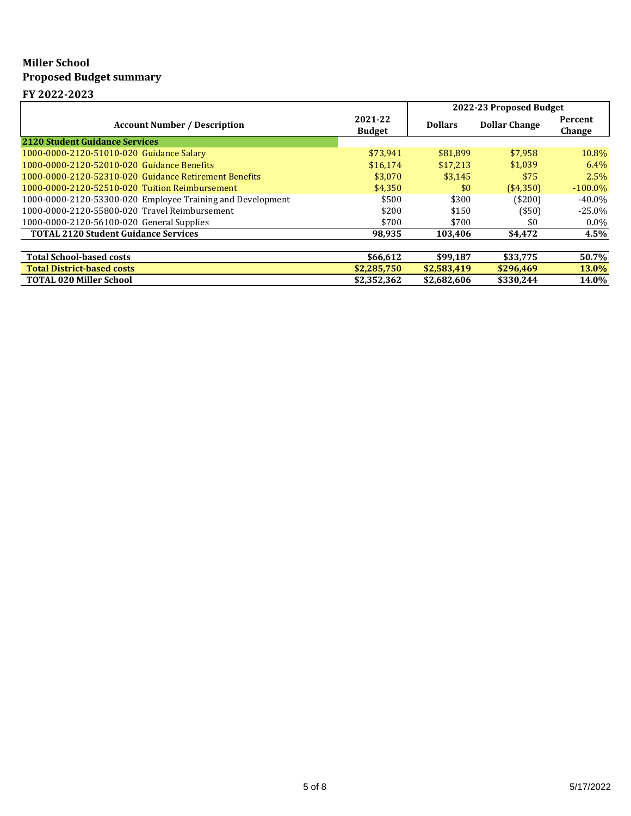# **Miller School Proposed Budget summary**

**FY 2022-2023**

|                                                            |                          | 2022-23 Proposed Budget |                      |                   |
|------------------------------------------------------------|--------------------------|-------------------------|----------------------|-------------------|
| <b>Account Number / Description</b>                        | 2021-22<br><b>Budget</b> | <b>Dollars</b>          | <b>Dollar Change</b> | Percent<br>Change |
| <b>2120 Student Guidance Services</b>                      |                          |                         |                      |                   |
| 1000-0000-2120-51010-020 Guidance Salary                   | \$73.941                 | \$81.899                | \$7.958              | 10.8%             |
| 1000-0000-2120-52010-020 Guidance Benefits                 | \$16.174                 | \$17,213                | \$1,039              | $6.4\%$           |
| 1000-0000-2120-52310-020 Guidance Retirement Benefits      | \$3,070                  | \$3.145                 | \$75                 | 2.5%              |
| 1000-0000-2120-52510-020 Tuition Reimbursement             | \$4.350                  | \$0                     | (\$4,350)            | $-100.0\%$        |
| 1000-0000-2120-53300-020 Employee Training and Development | \$500                    | \$300                   | ( \$200]             | $-40.0\%$         |
| 1000-0000-2120-55800-020 Travel Reimbursement              | \$200                    | \$150                   | $($ \$50)            | $-25.0\%$         |
| 1000-0000-2120-56100-020 General Supplies                  | \$700                    | \$700                   | \$0                  | $0.0\%$           |
| <b>TOTAL 2120 Student Guidance Services</b>                | 98.935                   | 103.406                 | \$4.472              | 4.5%              |
|                                                            |                          |                         |                      |                   |
| <b>Total School-based costs</b>                            | \$66,612                 | \$99,187                | \$33,775             | 50.7%             |
| <b>Total District-based costs</b>                          | \$2,285,750              | \$2,583,419             | \$296,469            | <b>13.0%</b>      |
| <b>TOTAL 020 Miller School</b>                             | \$2,352,362              | \$2,682,606             | \$330.244            | 14.0%             |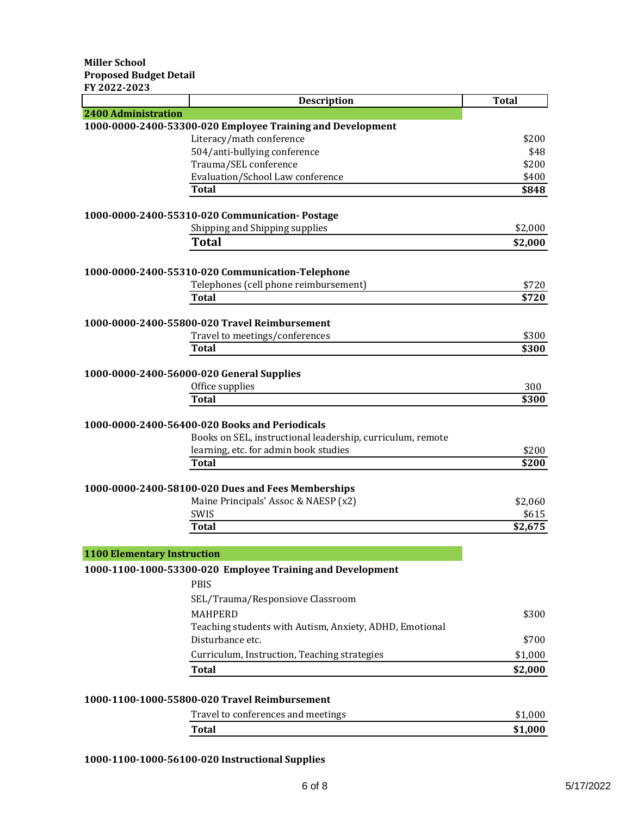| FY 2022-2023                       | <b>Description</b>                                         | <b>Total</b>  |
|------------------------------------|------------------------------------------------------------|---------------|
| <b>2400 Administration</b>         |                                                            |               |
|                                    | 1000-0000-2400-53300-020 Employee Training and Development |               |
|                                    | Literacy/math conference<br>504/anti-bullying conference   | \$200<br>\$48 |
|                                    | Trauma/SEL conference                                      | \$200         |
|                                    | Evaluation/School Law conference                           | \$400         |
|                                    | <b>Total</b>                                               | \$848         |
|                                    | 1000-0000-2400-55310-020 Communication- Postage            |               |
|                                    | Shipping and Shipping supplies                             | \$2,000       |
|                                    | <b>Total</b>                                               | \$2,000       |
|                                    | 1000-0000-2400-55310-020 Communication-Telephone           |               |
|                                    | Telephones (cell phone reimbursement)                      | \$720         |
|                                    | <b>Total</b>                                               | \$720         |
|                                    | 1000-0000-2400-55800-020 Travel Reimbursement              |               |
|                                    | Travel to meetings/conferences                             | \$300         |
|                                    | Total                                                      | \$300         |
|                                    | 1000-0000-2400-56000-020 General Supplies                  |               |
|                                    | Office supplies                                            | 300           |
|                                    | <b>Total</b>                                               | \$300         |
|                                    |                                                            |               |
|                                    | 1000-0000-2400-56400-020 Books and Periodicals             |               |
|                                    | Books on SEL, instructional leadership, curriculum, remote |               |
|                                    | learning, etc. for admin book studies                      | \$200         |
|                                    | Total                                                      | \$200         |
|                                    | 1000-0000-2400-58100-020 Dues and Fees Memberships         |               |
|                                    | Maine Principals' Assoc & NAESP (x2)                       | \$2,060       |
|                                    | SWIS                                                       | \$615         |
|                                    | <b>Total</b>                                               | \$2,675       |
| <b>1100 Elementary Instruction</b> |                                                            |               |
|                                    | 1000-1100-1000-53300-020 Employee Training and Development |               |
|                                    | <b>PBIS</b>                                                |               |
|                                    | SEL/Trauma/Responsiove Classroom                           |               |
|                                    | <b>MAHPERD</b>                                             | \$300         |
|                                    | Teaching students with Autism, Anxiety, ADHD, Emotional    |               |
|                                    | Disturbance etc.                                           | \$700         |
|                                    | Curriculum, Instruction, Teaching strategies               | \$1,000       |
|                                    | <b>Total</b>                                               | \$2,000       |
|                                    |                                                            |               |
|                                    | 1000-1100-1000-55800-020 Travel Reimbursement              |               |

| Travel to conferences and meetings | \$1.000 |
|------------------------------------|---------|
| Total                              | \$1,000 |
|                                    |         |

## **1000-1100-1000-56100-020 Instructional Supplies**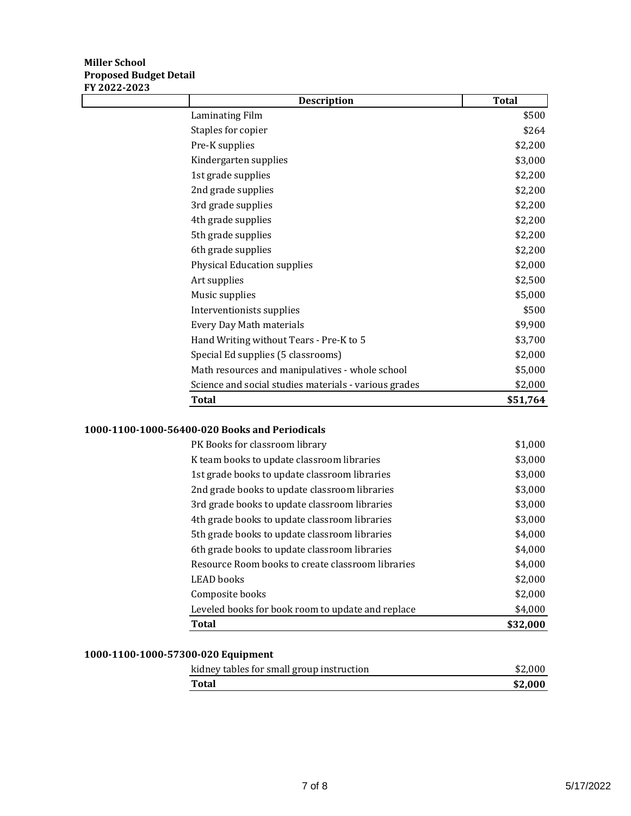### **Miller School Proposed Budget Detail FY 2022-2023**

| <b>Total</b> |
|--------------|
| \$500        |
| \$264        |
| \$2,200      |
| \$3,000      |
| \$2,200      |
| \$2,200      |
| \$2,200      |
| \$2,200      |
| \$2,200      |
| \$2,200      |
| \$2,000      |
| \$2,500      |
| \$5,000      |
| \$500        |
| \$9,900      |
| \$3,700      |
| \$2,000      |
| \$5,000      |
| \$2,000      |
| \$51,764     |
|              |

### **1000-1100-1000-56400-020 Books and Periodicals**

| <b>Total</b>                                      | \$32,000 |
|---------------------------------------------------|----------|
| Leveled books for book room to update and replace | \$4,000  |
| Composite books                                   | \$2,000  |
| <b>LEAD</b> books                                 | \$2,000  |
| Resource Room books to create classroom libraries | \$4,000  |
| 6th grade books to update classroom libraries     | \$4,000  |
| 5th grade books to update classroom libraries     | \$4,000  |
| 4th grade books to update classroom libraries     | \$3,000  |
| 3rd grade books to update classroom libraries     | \$3,000  |
| 2nd grade books to update classroom libraries     | \$3,000  |
| 1st grade books to update classroom libraries     | \$3,000  |
| K team books to update classroom libraries        | \$3,000  |
| PK Books for classroom library                    | \$1,000  |

# **1000-1100-1000-57300-020 Equipment**

| kidney tables for small group instruction | \$2.000 |
|-------------------------------------------|---------|
| <b>Total</b>                              | \$2.000 |